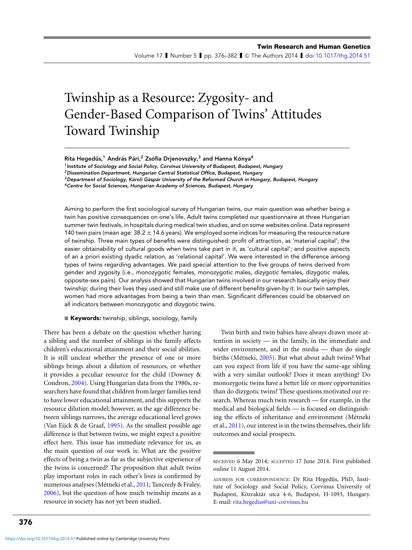# Twinship as a Resource: Zygosity- and Gender-Based Comparison of Twins' Attitudes Toward Twinship

Rita Hegedűs,<sup>1</sup> András Pári,<sup>2</sup> Zsófia Drjenovszky,<sup>3</sup> and Hanna Kónya<sup>4</sup>

<sup>1</sup> Institute of Sociology and Social Policy, Corvinus University of Budapest, Budapest, Hungary

<sup>2</sup>Dissemination Department, Hungarian Central Statistical Office, Budapest, Hungary

 $^3$ Department of Sociology, Károli Gáspár University of the Reformed Church in Hungary, Budapest, Hungary

<sup>4</sup>Centre for Social Sciences, Hungarian Academy of Sciences, Budapest, Hungary

Aiming to perform the first sociological survey of Hungarian twins, our main question was whether being a twin has positive consequences on one's life. Adult twins completed our questionnaire at three Hungarian summer twin festivals, in hospitals during medical twin studies, and on some websites online. Data represent 140 twin pairs (mean age:  $38.2 \pm 14.6$  years). We employed some indices for measuring the resource nature of twinship. Three main types of benefits were distinguished: profit of attraction, as 'material capital'; the easier obtainability of cultural goods when twins take part in it, as 'cultural capital'; and positive aspects of an a priori existing dyadic relation, as 'relational capital'. We were interested in the difference among types of twins regarding advantages. We paid special attention to the five groups of twins derived from gender and zygosity (i.e., monozygotic females, monozygotic males, dizygotic females, dizygotic males, opposite-sex pairs). Our analysis showed that Hungarian twins involved in our research basically enjoy their twinship; during their lives they used and still make use of different benefits given by it. In our twin samples, women had more advantages from being a twin than men. Significant differences could be observed on all indicators between monozygotic and dizygotic twins.

 $\blacksquare$  Keywords: twinship, siblings, sociology, family

There has been a debate on the question whether having a sibling and the number of siblings in the family affects children's educational attainment and their social abilities. It is still unclear whether the presence of one or more siblings brings about a dilution of resources, or whether it provides a peculiar resource for the child (Downey & Condron, [2004\)](#page-5-0). Using Hungarian data from the 1980s, researchers have found that children from larger families tend to have lower educational attainment, and this supports the resource dilution model; however, as the age difference between siblings narrows, the average educational level grows (Van Eijck & de Graaf, [1995\)](#page-6-0). As the smallest possible age difference is that between twins, we might expect a positive effect here. This issue has immediate relevance for us, as the main question of our work is: What are the positive effects of being a twin as far as the subjective experience of the twins is concerned? The proposition that adult twins play important roles in each other's lives is confirmed by numerous analyses (Métneki et al., [2011;](#page-5-0) Tancredy & Fraley, [2006\)](#page-6-0), but the question of how much twinship means as a resource in society has not yet been studied.

Twin birth and twin babies have always drawn more attention in society — in the family, in the immediate and wider environment, and in the media — than do single births (Métneki, [2005\)](#page-5-0). But what about adult twins? What can you expect from life if you have the same-age sibling with a very similar outlook? Does it mean anything? Do monozygotic twins have a better life or more opportunities than do dizygotic twins? These questions motivated our research. Whereas much twin research — for example, in the medical and biological fields — is focused on distinguishing the effects of inheritance and environment (Métneki et al., [2011\)](#page-5-0), our interest is in the twins themselves, their life outcomes and social prospects.

RECEIVED 6 May 2014; ACCEPTED 17 June 2014. First published online 11 August 2014.

ADDRESS FOR CORRESPONDENCE: Dr Rita Hegedűs, PhD, Institute of Sociology and Social Policy, Corvinus University of Budapest, Közraktár utca 4-6, Budapest, H-1093, Hungary. E-mail: [rita.hegedus@uni-corvinus.hu](mailto:rita.hegedus@uni-corvinus.hu)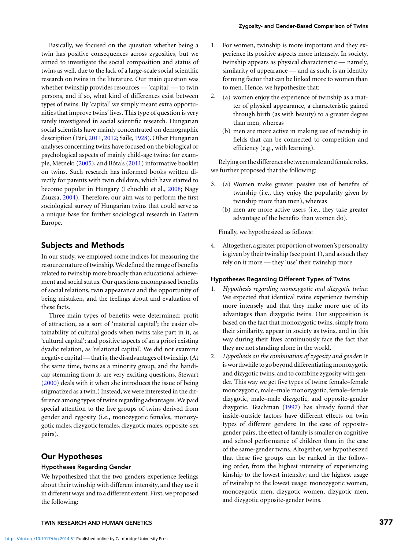Zygosity- and Gender-Based Comparison of Twins

Basically, we focused on the question whether being a twin has positive consequences across zygosities, but we aimed to investigate the social composition and status of twins as well, due to the lack of a large-scale social scientific research on twins in the literature. Our main question was whether twinship provides resources — 'capital' — to twin persons, and if so, what kind of differences exist between types of twins. By 'capital' we simply meant extra opportunities that improve twins' lives. This type of question is very rarely investigated in social scientific research. Hungarian social scientists have mainly concentrated on demographic description (Pári, [2011,](#page-6-0) [2012;](#page-6-0) Saile, [1928\)](#page-6-0). Other Hungarian analyses concerning twins have focused on the biological or psychological aspects of mainly child-age twins: for exam-ple, Métneki ([2005\)](#page-5-0), and Bóta's ([2011\)](#page-5-0) informative booklet on twins. Such research has informed books written directly for parents with twin children, which have started to become popular in Hungary (Lehochki et al., [2008;](#page-5-0) Nagy Zsuzsa, [2004\)](#page-6-0). Therefore, our aim was to perform the first sociological survey of Hungarian twins that could serve as a unique base for further sociological research in Eastern Europe.

## Subjects and Methods

In our study, we employed some indices for measuring the resource nature of twinship. We defined the range of benefits related to twinship more broadly than educational achievement and social status. Our questions encompassed benefits of social relations, twin appearance and the opportunity of being mistaken, and the feelings about and evaluation of these facts.

Three main types of benefits were determined: profit of attraction, as a sort of 'material capital'; the easier obtainability of cultural goods when twins take part in it, as 'cultural capital'; and positive aspects of an a priori existing dyadic relation, as 'relational capital'. We did not examine negative capital — that is, the disadvantages of twinship. (At the same time, twins as a minority group, and the handicap stemming from it, are very exciting questions. Stewart [\(2000\)](#page-6-0) deals with it when she introduces the issue of being stigmatized as a twin.) Instead, we were interested in the difference among types of twins regarding advantages. We paid special attention to the five groups of twins derived from gender and zygosity (i.e., monozygotic females, monozygotic males, dizygotic females, dizygotic males, opposite-sex pairs).

## Our Hypotheses

## Hypotheses Regarding Gender

We hypothesized that the two genders experience feelings about their twinship with different intensity, and they use it in different ways and to a different extent. First, we proposed the following:

- 1. For women, twinship is more important and they experience its positive aspects more intensely. In society, twinship appears as physical characteristic — namely, similarity of appearance — and as such, is an identity forming factor that can be linked more to women than to men. Hence, we hypothesize that:
- 2. (a) women enjoy the experience of twinship as a matter of physical appearance, a characteristic gained through birth (as with beauty) to a greater degree than men, whereas
	- (b) men are more active in making use of twinship in fields that can be connected to competition and efficiency (e.g., with learning).

Relying on the differences between male and female roles, we further proposed that the following:

- 3. (a) Women make greater passive use of benefits of twinship (i.e., they enjoy the popularity given by twinship more than men), whereas
	- (b) men are more active users (i.e., they take greater advantage of the benefits than women do).

Finally, we hypothesized as follows:

4. Altogether, a greater proportion of women's personality is given by their twinship (see point 1), and as such they rely on it more — they 'use' their twinship more.

#### Hypotheses Regarding Different Types of Twins

- 1. *Hypothesis regarding monozygotic and dizygotic twins*: We expected that identical twins experience twinship more intensely and that they make more use of its advantages than dizygotic twins. Our supposition is based on the fact that monozygotic twins, simply from their similarity, appear in society as twins, and in this way during their lives continuously face the fact that they are not standing alone in the world.
- 2. *Hypothesis on the combination of zygosity and gender*: It is worthwhile to go beyond differentiating monozygotic and dizygotic twins, and to combine zygosity with gender. This way we get five types of twins: female–female monozygotic, male–male monozygotic, female–female dizygotic, male–male dizygotic, and opposite-gender dizygotic. Teachman [\(1997\)](#page-6-0) has already found that inside-outside factors have different effects on twin types of different genders: In the case of oppositegender pairs, the effect of family is smaller on cognitive and school performance of children than in the case of the same-gender twins. Altogether, we hypothesized that these five groups can be ranked in the following order, from the highest intensity of experiencing kinship to the lowest intensity; and the highest usage of twinship to the lowest usage: monozygotic women, monozygotic men, dizygotic women, dizygotic men, and dizygotic opposite-gender twins.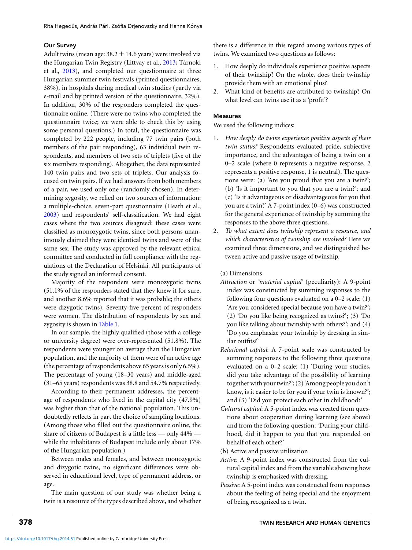#### Our Survey

Adult twins (mean age:  $38.2 \pm 14.6$  years) were involved via the Hungarian Twin Registry (Littvay et al., [2013;](#page-5-0) Tárnoki et al., [2013\)](#page-6-0), and completed our questionnaire at three Hungarian summer twin festivals (printed questionnaires, 38%), in hospitals during medical twin studies (partly via e-mail and by printed version of the questionnaire, 32%). In addition, 30% of the responders completed the questionnaire online. (There were no twins who completed the questionnaire twice; we were able to check this by using some personal questions.) In total, the questionnaire was completed by 222 people, including 77 twin pairs (both members of the pair responding), 63 individual twin respondents, and members of two sets of triplets (five of the six members responding). Altogether, the data represented 140 twin pairs and two sets of triplets. Our analysis focused on twin pairs. If we had answers from both members of a pair, we used only one (randomly chosen). In determining zygosity, we relied on two sources of information: a multiple-choice, seven-part questionnaire (Heath et al., [2003\)](#page-5-0) and respondents' self-classification. We had eight cases where the two sources disagreed: these cases were classified as monozygotic twins, since both persons unanimously claimed they were identical twins and were of the same sex. The study was approved by the relevant ethical committee and conducted in full compliance with the regulations of the Declaration of Helsinki. All participants of the study signed an informed consent.

Majority of the responders were monozygotic twins (51.1% of the responders stated that they knew it for sure, and another 8.6% reported that it was probable; the others were dizygotic twins). Seventy-five percent of responders were women. The distribution of respondents by sex and zygosity is shown in [Table 1.](#page-3-0)

In our sample, the highly qualified (those with a college or university degree) were over-represented (51.8%). The respondents were younger on average than the Hungarian population, and the majority of them were of an active age (the percentage of respondents above 65 years is only 6.5%). The percentage of young (18–30 years) and middle-aged (31–65 years) respondents was 38.8 and 54.7% respectively.

According to their permanent addresses, the percentage of respondents who lived in the capital city (47.9%) was higher than that of the national population. This undoubtedly reflects in part the choice of sampling locations. (Among those who filled out the questionnaire online, the share of citizens of Budapest is a little less — only 44% while the inhabitants of Budapest include only about 17% of the Hungarian population.)

Between males and females, and between monozygotic and dizygotic twins, no significant differences were observed in educational level, type of permanent address, or age.

The main question of our study was whether being a twin is a resource of the types described above, and whether there is a difference in this regard among various types of twins. We examined two questions as follows:

- 1. How deeply do individuals experience positive aspects of their twinship? On the whole, does their twinship provide them with an emotional plus?
- 2. What kind of benefits are attributed to twinship? On what level can twins use it as a 'profit'?

#### Measures

We used the following indices:

- 1. *How deeply do twins experience positive aspects of their twin status?* Respondents evaluated pride, subjective importance, and the advantages of being a twin on a 0–2 scale (where 0 represents a negative response, 2 represents a positive response, 1 is neutral). The questions were: (a) 'Are you proud that you are a twin?'; (b) 'Is it important to you that you are a twin?'; and (c) 'Is it advantageous or disadvantageous for you that you are a twin?' A 7-point index (0–6) was constructed for the general experience of twinship by summing the responses to the above three questions.
- 2. *To what extent does twinship represent a resource, and which characteristics of twinship are involved?* Here we examined three dimensions, and we distinguished between active and passive usage of twinship.
	- (a) Dimensions
	- *Attraction* or *'material capital'* (peculiarity): A 9-point index was constructed by summing responses to the following four questions evaluated on a 0–2 scale: (1) 'Are you considered special because you have a twin?'; (2) 'Do you like being recognized as twins?'; (3) 'Do you like talking about twinship with others?'; and (4) 'Do you emphasize your twinship by dressing in similar outfits?'
	- *Relational capital*: A 7-point scale was constructed by summing responses to the following three questions evaluated on a 0–2 scale: (1) 'During your studies, did you take advantage of the possibility of learning together with your twin?'; (2) 'Among people you don't know, is it easier to be for you if your twin is known?'; and (3) 'Did you protect each other in childhood?'
	- *Cultural capital*: A 5-point index was created from questions about cooperation during learning (see above) and from the following question: 'During your childhood, did it happen to you that you responded on behalf of each other?'

(b) Active and passive utilization

- *Active*: A 9-point index was constructed from the cultural capital index and from the variable showing how twinship is emphasized with dressing.
- *Passive*: A 5-point index was constructed from responses about the feeling of being special and the enjoyment of being recognized as a twin.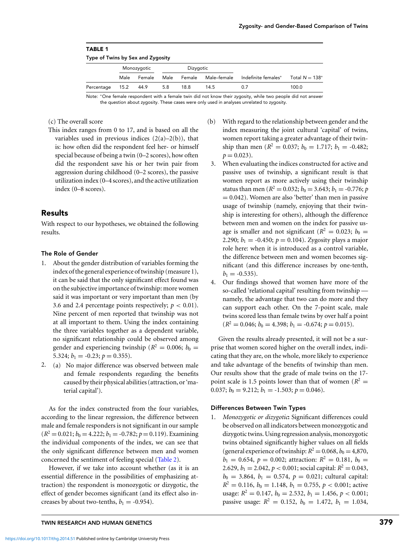<span id="page-3-0"></span>

| <b>TABLE 1</b>                    |             |        |           |        |             |                     |                   |  |  |
|-----------------------------------|-------------|--------|-----------|--------|-------------|---------------------|-------------------|--|--|
| Type of Twins by Sex and Zygosity |             |        |           |        |             |                     |                   |  |  |
|                                   | Monozygotic |        | Dizygotic |        |             |                     |                   |  |  |
|                                   | Male        | Female | Male      | Female | Male-female | Indefinite females* | Total $N = 138^*$ |  |  |
| Percentage                        | 15.2        | 44.9   | 5.8       | 18.8   | 14.5        | 0.7                 | 100.0             |  |  |

Note: <sup>∗</sup>One female respondent with a female twin did not know their zygosity, while two people did not answer the question about zygosity. These cases were only used in analyses unrelated to zygosity.

## (c) The overall score

This index ranges from 0 to 17, and is based on all the variables used in previous indices  $(2(a)-2(b))$ , that is: how often did the respondent feel her- or himself special because of being a twin (0–2 scores), how often did the respondent save his or her twin pair from aggression during childhood (0–2 scores), the passive utilization index (0–4 scores), and the active utilization index (0–8 scores).

## Results

With respect to our hypotheses, we obtained the following results.

#### The Role of Gender

- 1. About the gender distribution of variables forming the index of the general experience of twinship (measure 1), it can be said that the only significant effect found was on the subjective importance of twinship: more women said it was important or very important than men (by 3.6 and 2.4 percentage points respectively;  $p < 0.01$ ). Nine percent of men reported that twinship was not at all important to them. Using the index containing the three variables together as a dependent variable, no significant relationship could be observed among gender and experiencing twinship ( $R^2 = 0.006$ ;  $b_0 =$ 5.324;  $b_1 = -0.23$ ;  $p = 0.355$ ).
- 2. (a) No major difference was observed between male and female respondents regarding the benefits caused by their physical abilities (attraction, or 'material capital').

As for the index constructed from the four variables, according to the linear regression, the difference between male and female responders is not significant in our sample  $(R^{2} = 0.021; b_{0} = 4.222; b_{1} = -0.782; p = 0.119)$ . Examining the individual components of the index, we can see that the only significant difference between men and women concerned the sentiment of feeling special [\(Table 2\)](#page-4-0).

However, if we take into account whether (as it is an essential difference in the possibilities of emphasizing attraction) the respondent is monozygotic or dizygotic, the effect of gender becomes significant (and its effect also increases by about two-tenths,  $b_1 = -0.954$ .

- (b) With regard to the relationship between gender and the index measuring the joint cultural 'capital' of twins, women report taking a greater advantage of their twinship than men ( $R^2 = 0.037$ ;  $b_0 = 1.717$ ;  $b_1 = -0.482$ ;  $p = 0.023$ .
- 3. When evaluating the indices constructed for active and passive uses of twinship, a significant result is that women report as more actively using their twinship status than men ( $R^2 = 0.032$ ;  $b_0 = 3.643$ ;  $b_1 = -0.776$ ; *p*  $= 0.042$ ). Women are also 'better' than men in passive usage of twinship (namely, enjoying that their twinship is interesting for others), although the difference between men and women on the index for passive usage is smaller and not significant ( $R^2 = 0.023$ ;  $b_0 =$ 2.290;  $b_1 = -0.450$ ;  $p = 0.104$ ). Zygosity plays a major role here: when it is introduced as a control variable, the difference between men and women becomes significant (and this difference increases by one-tenth,  $b_1 = -0.535$ .
- 4. Our findings showed that women have more of the so-called 'relational capital' resulting from twinship namely, the advantage that two can do more and they can support each other. On the 7-point scale, male twins scored less than female twins by over half a point  $(R^{2} = 0.046; b_{0} = 4.398; b_{1} = -0.674; p = 0.015).$

Given the results already presented, it will not be a surprise that women scored higher on the overall index, indicating that they are, on the whole, more likely to experience and take advantage of the benefits of twinship than men. Our results show that the grade of male twins on the 17 point scale is 1.5 points lower than that of women ( $R^2$  = 0.037;  $b_0 = 9.212$ ;  $b_1 = -1.503$ ;  $p = 0.046$ ).

#### Differences Between Twin Types

1. *Monozygotic or dizygotic***:** Significant differences could be observed on all indicators between monozygotic and dizygotic twins. Using regression analysis, monozygotic twins obtained significantly higher values on all fields (general experience of twinship:  $R^2 = 0.068$ ,  $b_0 = 4,870$ ,  $b_1 = 0.654$ ,  $p = 0.002$ ; attraction:  $R^2 = 0.181$ ,  $b_0 =$ 2.629,  $b_1 = 2.042$ ,  $p < 0.001$ ; social capital:  $R^2 = 0.043$ ,  $b_0 = 3.864$ ,  $b_1 = 0.574$ ,  $p = 0.021$ ; cultural capital:  $R^2 = 0.116$ ,  $b_0 = 1.148$ ,  $b_1 = 0.755$ ,  $p < 0.001$ ; active usage:  $R^2 = 0.147$ ,  $b_0 = 2.532$ ,  $b_1 = 1.456$ ,  $p < 0.001$ ; passive usage:  $R^2 = 0.152$ ,  $b_0 = 1.472$ ,  $b_1 = 1.034$ ,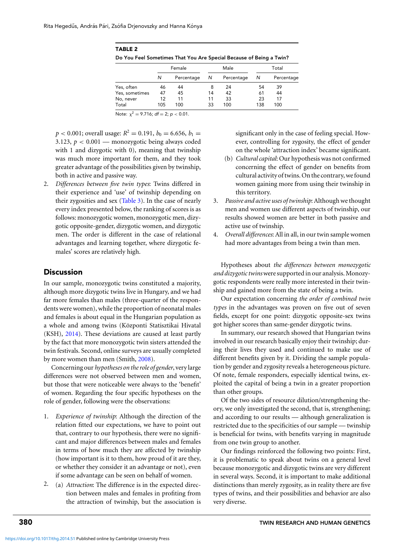<span id="page-4-0"></span>

| <b>TABLE 2</b><br>Do You Feel Sometimes That You Are Special Because of Being a Twin? |     |            |    |            |       |            |  |  |
|---------------------------------------------------------------------------------------|-----|------------|----|------------|-------|------------|--|--|
|                                                                                       |     | Female     |    | Male       | Total |            |  |  |
|                                                                                       | Ν   | Percentage | N  | Percentage | N     | Percentage |  |  |
| Yes, often                                                                            | 46  | 44         | 8  | 24         | 54    | 39         |  |  |
| Yes, sometimes                                                                        | 47  | 45         | 14 | 42         | 61    | 44         |  |  |
| No, never                                                                             | 12  | 11         | 11 | 33         | 23    | 17         |  |  |
| Total                                                                                 | 105 | 100        | 33 | 100        | 138   | 100        |  |  |

Note:  $\chi^2 = 9.716$ ; df = 2; p < 0.01.

 $p < 0.001$ ; overall usage:  $R^2 = 0.191$ ,  $b_0 = 6.656$ ,  $b_1 =$ 3.123,  $p < 0.001$  — monozygotic being always coded with 1 and dizygotic with 0), meaning that twinship was much more important for them, and they took greater advantage of the possibilities given by twinship, both in active and passive way.

2. *Differences between five twin types*: Twins differed in their experience and 'use' of twinship depending on their zygosities and sex [\(Table 3\)](#page-5-0). In the case of nearly every index presented below, the ranking of scores is as follows: monozygotic women, monozygotic men, dizygotic opposite-gender, dizygotic women, and dizygotic men. The order is different in the case of relational advantages and learning together, where dizygotic females' scores are relatively high.

## **Discussion**

In our sample, monozygotic twins constituted a majority, although more dizygotic twins live in Hungary, and we had far more females than males (three-quarter of the respondents were women), while the proportion of neonatal males and females is about equal in the Hungarian population as a whole and among twins (Központi Statisztikai Hivatal (KSH), [2014\)](#page-5-0). These deviations are caused at least partly by the fact that more monozygotic twin sisters attended the twin festivals. Second, online surveys are usually completed by more women than men (Smith, [2008\)](#page-6-0).

Concerning our *hypotheses on the role of gender*, very large differences were not observed between men and women, but those that were noticeable were always to the 'benefit' of women. Regarding the four specific hypotheses on the role of gender, following were the observations:

- 1. *Experience of twinship*: Although the direction of the relation fitted our expectations, we have to point out that, contrary to our hypothesis, there were no significant and major differences between males and females in terms of how much they are affected by twinship (how important is it to them, how proud of it are they, or whether they consider it an advantage or not), even if some advantage can be seen on behalf of women.
- 2. (a) *Attraction*: The difference is in the expected direction between males and females in profiting from the attraction of twinship, but the association is

significant only in the case of feeling special. However, controlling for zygosity, the effect of gender on the whole 'attraction index' became significant.

- (b) *Cultural capital*: Our hypothesis was not confirmed concerning the effect of gender on benefits from cultural activity of twins. On the contrary, we found women gaining more from using their twinship in this territory.
- 3. *Passive and active uses of twinship*: Although we thought men and women use different aspects of twinship, our results showed women are better in both passive and active use of twinship.
- 4. *Overall differences*: All in all, in our twin sample women had more advantages from being a twin than men.

Hypotheses about *the differences between monozygotic and dizygotic twins*were supported in our analysis. Monozygotic respondents were really more interested in their twinship and gained more from the state of being a twin.

Our expectation concerning *the order of combined twin types* in the advantages was proven on five out of seven fields, except for one point: dizygotic opposite-sex twins got higher scores than same-gender dizygotic twins.

In summary, our research showed that Hungarian twins involved in our research basically enjoy their twinship; during their lives they used and continued to make use of different benefits given by it. Dividing the sample population by gender and zygosity reveals a heterogeneous picture. Of note, female responders, especially identical twins, exploited the capital of being a twin in a greater proportion than other groups.

Of the two sides of resource dilution/strengthening theory, we only investigated the second, that is, strengthening; and according to our results — although generalization is restricted due to the specificities of our sample — twinship is beneficial for twins, with benefits varying in magnitude from one twin group to another.

Our findings reinforced the following two points: First, it is problematic to speak about twins on a general level because monozygotic and dizygotic twins are very different in several ways. Second, it is important to make additional distinctions than merely zygosity, as in reality there are five types of twins, and their possibilities and behavior are also very diverse.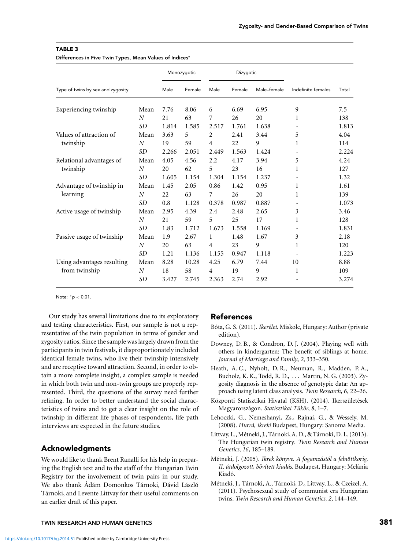#### <span id="page-5-0"></span>TABLE 3

Differences in Five Twin Types, Mean Values of Indices**∗**

|                                   |                  | Monozygotic |       | Dizygotic      |             |                    |                          |       |
|-----------------------------------|------------------|-------------|-------|----------------|-------------|--------------------|--------------------------|-------|
| Type of twins by sex and zygosity | Male             | Female      | Male  | Female         | Male-female | Indefinite females | Total                    |       |
| Experiencing twinship             | Mean             | 7.76        | 8.06  | 6              | 6.69        | 6.95               | 9                        | 7.5   |
|                                   | N                | 21          | 63    | 7              | 26          | 20                 | 1                        | 138   |
|                                   | <b>SD</b>        | 1.814       | 1.585 | 2.517          | 1.761       | 1.638              | $\overline{\phantom{a}}$ | 1.813 |
| Values of attraction of           | Mean             | 3.63        | 5     | 2              | 2.41        | 3.44               | 5                        | 4.04  |
| twinship                          | $_{N}$           | 19          | 59    | $\overline{4}$ | 22          | 9                  | 1                        | 114   |
|                                   | <b>SD</b>        | 2.266       | 2.051 | 2.449          | 1.563       | 1.424              | $\overline{\phantom{m}}$ | 2.224 |
| Relational advantages of          | Mean             | 4.05        | 4.56  | 2.2            | 4.17        | 3.94               | 5                        | 4.24  |
| twinship                          | $\boldsymbol{N}$ | 20          | 62    | 5              | 23          | 16                 | 1                        | 127   |
|                                   | <b>SD</b>        | 1.605       | 1.154 | 1.304          | 1.154       | 1.237              |                          | 1.32  |
| Advantage of twinship in          | Mean             | 1.45        | 2.05  | 0.86           | 1.42        | 0.95               | 1                        | 1.61  |
| learning                          | $\boldsymbol{N}$ | 22          | 63    | 7              | 26          | 20                 | 1                        | 139   |
|                                   | SD               | 0.8         | 1.128 | 0.378          | 0.987       | 0.887              |                          | 1.073 |
| Active usage of twinship          | Mean             | 2.95        | 4.39  | 2.4            | 2.48        | 2.65               | 3                        | 3.46  |
|                                   | Ν                | 21          | 59    | 5              | 25          | 17                 | 1                        | 128   |
|                                   | <b>SD</b>        | 1.83        | 1.712 | 1.673          | 1.558       | 1.169              | $\overline{\phantom{a}}$ | 1.831 |
| Passive usage of twinship         | Mean             | 1.9         | 2.67  | $\mathbf{1}$   | 1.48        | 1.67               | 3                        | 2.18  |
|                                   | $\boldsymbol{N}$ | 20          | 63    | $\overline{4}$ | 23          | 9                  | 1                        | 120   |
|                                   | SD               | 1.21        | 1.136 | 1.155          | 0.947       | 1.118              | $\overline{\phantom{a}}$ | 1.223 |
| Using advantages resulting        | Mean             | 8.28        | 10.28 | 4.25           | 6.79        | 7.44               | 10                       | 8.88  |
| from twinship                     | $\boldsymbol{N}$ | 18          | 58    | $\overline{4}$ | 19          | 9                  | 1                        | 109   |
|                                   | SD               | 3.427       | 2.745 | 2.363          | 2.74        | 2.92               |                          | 3.274 |

Note: <sup>∗</sup>p *<* 0.01.

Our study has several limitations due to its exploratory and testing characteristics. First, our sample is not a representative of the twin population in terms of gender and zygosity ratios. Since the sample was largely drawn from the participants in twin festivals, it disproportionately included identical female twins, who live their twinship intensively and are receptive toward attraction. Second, in order to obtain a more complete insight, a complex sample is needed in which both twin and non-twin groups are properly represented. Third, the questions of the survey need further refining. In order to better understand the social characteristics of twins and to get a clear insight on the role of twinship in different life phases of respondents, life path interviews are expected in the future studies.

## Acknowledgments

We would like to thank Brent Ranalli for his help in preparing the English text and to the staff of the Hungarian Twin Registry for the involvement of twin pairs in our study. We also thank Ádám Domonkos Tárnoki, Dávid László Tárnoki, and Levente Littvay for their useful comments on an earlier draft of this paper.

## References

- Bóta, G. S. (2011). *Ikerélet*. Miskolc, Hungary: Author (private edition).
- Downey, D. B., & Condron, D. J. (2004). Playing well with others in kindergarten: The benefit of siblings at home. *Journal of Marriage and Family*, *2*, 333–350.
- Heath, A. C., Nyholt, D. R., Neuman, R., Madden, P. A., Bucholz, K. K., Todd, R. D., . . . Martin, N. G. (2003). Zygosity diagnosis in the absence of genotypic data: An approach using latent class analysis. *Twin Research*, *6*, 22–26.
- Központi Statisztikai Hivatal (KSH). (2014). Ikerszületések Magyarországon. Statisztikai Tükör, 8, 1–7.
- Lehoczki, G., Nemeshanyi, Zs., Rajnai, G., & Wessely, M. (2008). *Hurrá, ikrek!* Budapest, Hungary: Sanoma Media.
- Littvay, L., Métneki, J., Tárnoki, A. D., & Tárnoki, D. L. (2013). The Hungarian twin registry. *Twin Research and Human Genetics*, *16*, 185–189.
- Metneki, J. (2005). ´ *Ikrek konyve. A fogamz ¨ ast ´ ol a feln ´ ottkorig. ˝ II. atdolgozott, b ´ ov˝ ´ıtett kiadas ´* . Budapest, Hungary: Melania ´ Kiadó.
- Métneki, J., Tárnoki, A., Tárnoki, D., Littvay, L., & Czeizel, A. (2011). Psychosexual study of communist era Hungarian twins. *Twin Research and Human Genetics*, *2*, 144–149.